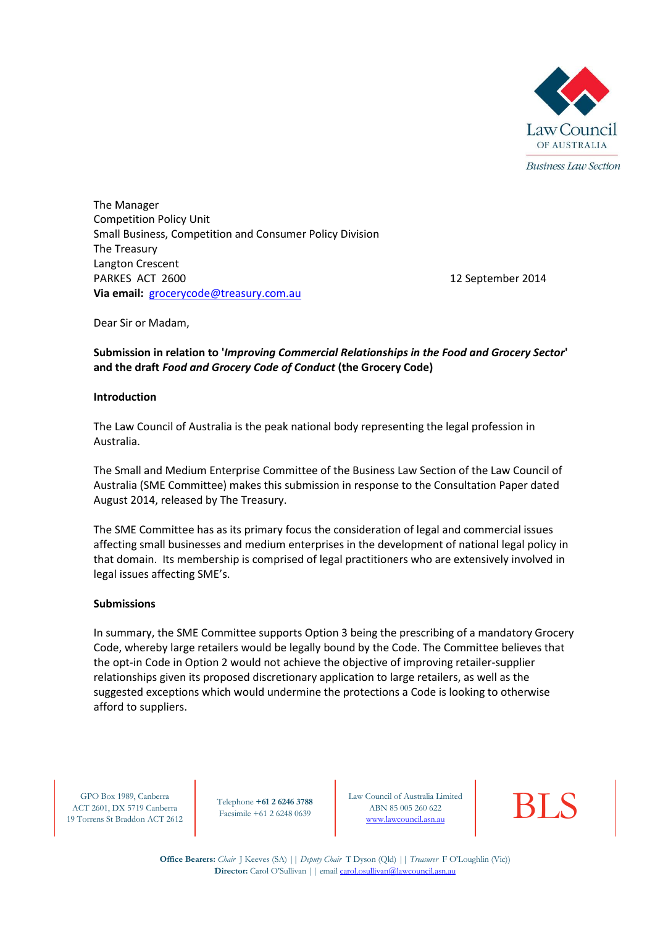

The Manager Competition Policy Unit Small Business, Competition and Consumer Policy Division The Treasury Langton Crescent PARKES ACT 2600 **12 September 2014 Via email:** [grocerycode@treasury.com.au](mailto:grocerycode@treasury.com.au)

Dear Sir or Madam,

#### **Submission in relation to '***Improving Commercial Relationships in the Food and Grocery Sector***' and the draft** *Food and Grocery Code of Conduct* **(the Grocery Code)**

#### **Introduction**

The Law Council of Australia is the peak national body representing the legal profession in Australia.

The Small and Medium Enterprise Committee of the Business Law Section of the Law Council of Australia (SME Committee) makes this submission in response to the Consultation Paper dated August 2014, released by The Treasury.

The SME Committee has as its primary focus the consideration of legal and commercial issues affecting small businesses and medium enterprises in the development of national legal policy in that domain. Its membership is comprised of legal practitioners who are extensively involved in legal issues affecting SME's.

#### **Submissions**

In summary, the SME Committee supports Option 3 being the prescribing of a mandatory Grocery Code, whereby large retailers would be legally bound by the Code. The Committee believes that the opt-in Code in Option 2 would not achieve the objective of improving retailer-supplier relationships given its proposed discretionary application to large retailers, as well as the suggested exceptions which would undermine the protections a Code is looking to otherwise afford to suppliers.

GPO Box 1989, Canberra ACT 2601, DX 5719 Canberra 19 Torrens St Braddon ACT 2612

Telephone **+61 2 6246 3788** Facsimile +61 2 6248 0639

Law Council of Australia Limited<br>
ABN 85 005 260 622<br> [www.lawcouncil.asn.au](http://www.lawcouncil.asn.au/) ABN 85 005 260 622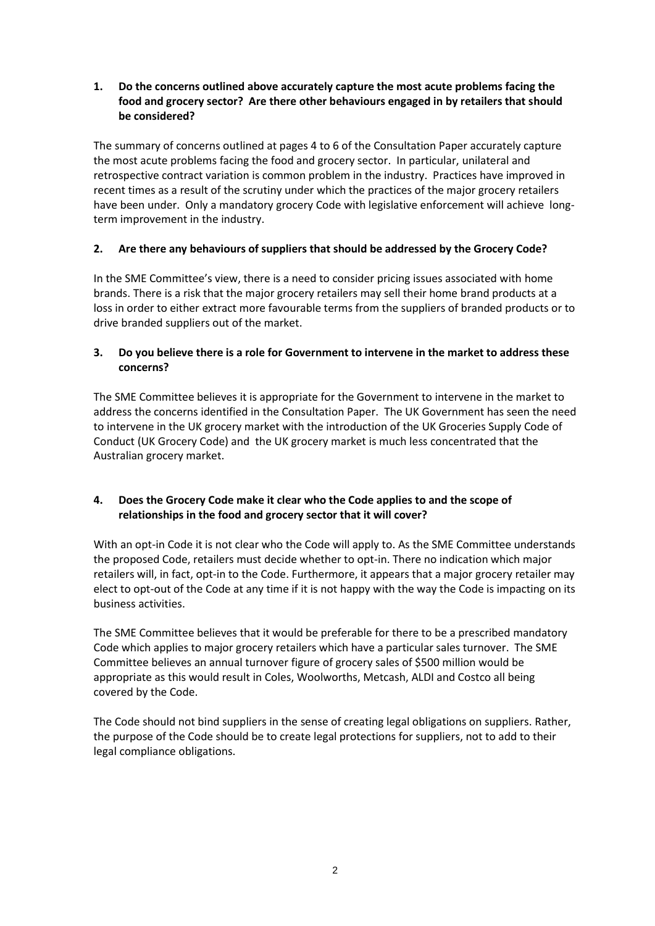**1. Do the concerns outlined above accurately capture the most acute problems facing the food and grocery sector? Are there other behaviours engaged in by retailers that should be considered?** 

The summary of concerns outlined at pages 4 to 6 of the Consultation Paper accurately capture the most acute problems facing the food and grocery sector. In particular, unilateral and retrospective contract variation is common problem in the industry. Practices have improved in recent times as a result of the scrutiny under which the practices of the major grocery retailers have been under. Only a mandatory grocery Code with legislative enforcement will achieve longterm improvement in the industry.

# **2. Are there any behaviours of suppliers that should be addressed by the Grocery Code?**

In the SME Committee's view, there is a need to consider pricing issues associated with home brands. There is a risk that the major grocery retailers may sell their home brand products at a loss in order to either extract more favourable terms from the suppliers of branded products or to drive branded suppliers out of the market.

# **3. Do you believe there is a role for Government to intervene in the market to address these concerns?**

The SME Committee believes it is appropriate for the Government to intervene in the market to address the concerns identified in the Consultation Paper. The UK Government has seen the need to intervene in the UK grocery market with the introduction of the UK Groceries Supply Code of Conduct (UK Grocery Code) and the UK grocery market is much less concentrated that the Australian grocery market.

## **4. Does the Grocery Code make it clear who the Code applies to and the scope of relationships in the food and grocery sector that it will cover?**

With an opt-in Code it is not clear who the Code will apply to. As the SME Committee understands the proposed Code, retailers must decide whether to opt-in. There no indication which major retailers will, in fact, opt-in to the Code. Furthermore, it appears that a major grocery retailer may elect to opt-out of the Code at any time if it is not happy with the way the Code is impacting on its business activities.

The SME Committee believes that it would be preferable for there to be a prescribed mandatory Code which applies to major grocery retailers which have a particular sales turnover. The SME Committee believes an annual turnover figure of grocery sales of \$500 million would be appropriate as this would result in Coles, Woolworths, Metcash, ALDI and Costco all being covered by the Code.

The Code should not bind suppliers in the sense of creating legal obligations on suppliers. Rather, the purpose of the Code should be to create legal protections for suppliers, not to add to their legal compliance obligations.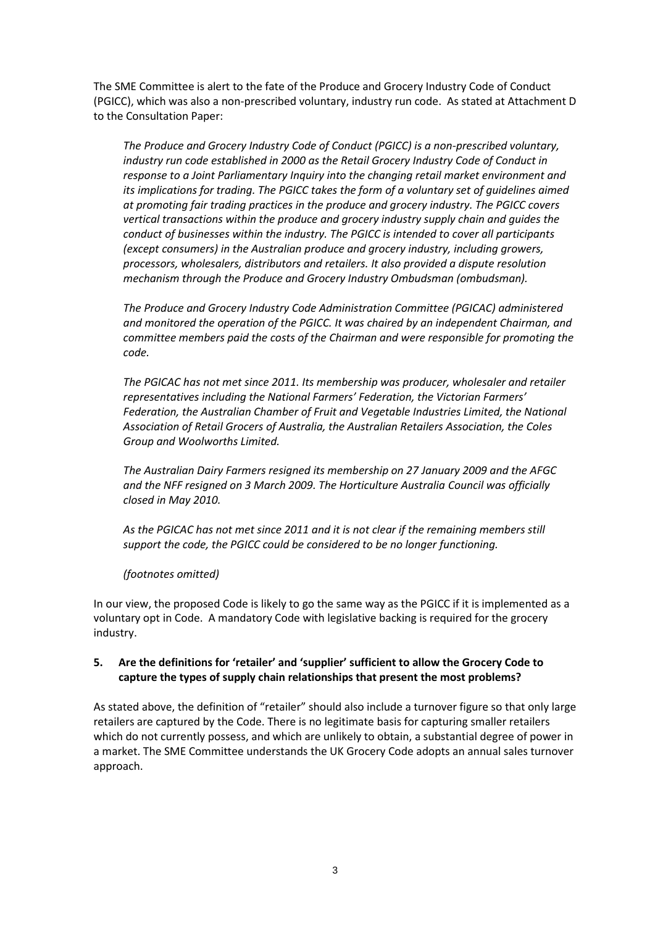The SME Committee is alert to the fate of the Produce and Grocery Industry Code of Conduct (PGICC), which was also a non-prescribed voluntary, industry run code. As stated at Attachment D to the Consultation Paper:

*The Produce and Grocery Industry Code of Conduct (PGICC) is a non-prescribed voluntary, industry run code established in 2000 as the Retail Grocery Industry Code of Conduct in response to a Joint Parliamentary Inquiry into the changing retail market environment and*  its implications for trading. The PGICC takes the form of a voluntary set of quidelines aimed *at promoting fair trading practices in the produce and grocery industry. The PGICC covers vertical transactions within the produce and grocery industry supply chain and guides the conduct of businesses within the industry. The PGICC is intended to cover all participants (except consumers) in the Australian produce and grocery industry, including growers, processors, wholesalers, distributors and retailers. It also provided a dispute resolution mechanism through the Produce and Grocery Industry Ombudsman (ombudsman).*

*The Produce and Grocery Industry Code Administration Committee (PGICAC) administered and monitored the operation of the PGICC. It was chaired by an independent Chairman, and committee members paid the costs of the Chairman and were responsible for promoting the code.*

*The PGICAC has not met since 2011. Its membership was producer, wholesaler and retailer representatives including the National Farmers' Federation, the Victorian Farmers' Federation, the Australian Chamber of Fruit and Vegetable Industries Limited, the National Association of Retail Grocers of Australia, the Australian Retailers Association, the Coles Group and Woolworths Limited.* 

*The Australian Dairy Farmers resigned its membership on 27 January 2009 and the AFGC and the NFF resigned on 3 March 2009. The Horticulture Australia Council was officially closed in May 2010.*

*As the PGICAC has not met since 2011 and it is not clear if the remaining members still support the code, the PGICC could be considered to be no longer functioning.*

*(footnotes omitted)*

In our view, the proposed Code is likely to go the same way as the PGICC if it is implemented as a voluntary opt in Code. A mandatory Code with legislative backing is required for the grocery industry.

## **5. Are the definitions for 'retailer' and 'supplier' sufficient to allow the Grocery Code to capture the types of supply chain relationships that present the most problems?**

As stated above, the definition of "retailer" should also include a turnover figure so that only large retailers are captured by the Code. There is no legitimate basis for capturing smaller retailers which do not currently possess, and which are unlikely to obtain, a substantial degree of power in a market. The SME Committee understands the UK Grocery Code adopts an annual sales turnover approach.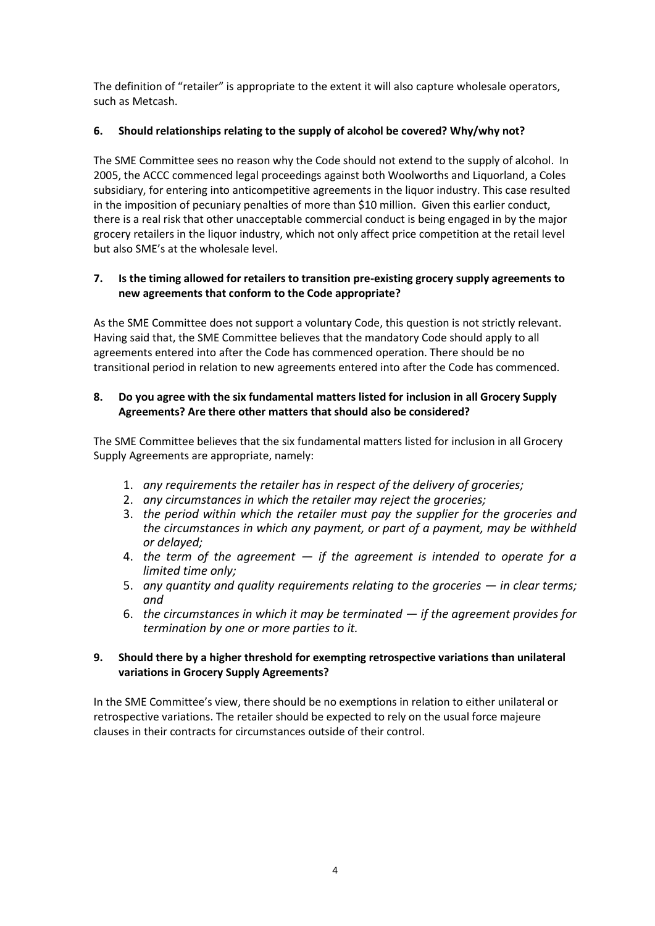The definition of "retailer" is appropriate to the extent it will also capture wholesale operators, such as Metcash.

# **6. Should relationships relating to the supply of alcohol be covered? Why/why not?**

The SME Committee sees no reason why the Code should not extend to the supply of alcohol. In 2005, the ACCC commenced legal proceedings against both Woolworths and Liquorland, a Coles subsidiary, for entering into anticompetitive agreements in the liquor industry. This case resulted in the imposition of pecuniary penalties of more than \$10 million. Given this earlier conduct, there is a real risk that other unacceptable commercial conduct is being engaged in by the major grocery retailers in the liquor industry, which not only affect price competition at the retail level but also SME's at the wholesale level.

## **7. Is the timing allowed for retailers to transition pre-existing grocery supply agreements to new agreements that conform to the Code appropriate?**

As the SME Committee does not support a voluntary Code, this question is not strictly relevant. Having said that, the SME Committee believes that the mandatory Code should apply to all agreements entered into after the Code has commenced operation. There should be no transitional period in relation to new agreements entered into after the Code has commenced.

# **8. Do you agree with the six fundamental matters listed for inclusion in all Grocery Supply Agreements? Are there other matters that should also be considered?**

The SME Committee believes that the six fundamental matters listed for inclusion in all Grocery Supply Agreements are appropriate, namely:

- 1. *any requirements the retailer has in respect of the delivery of groceries;*
- 2. *any circumstances in which the retailer may reject the groceries;*
- 3. *the period within which the retailer must pay the supplier for the groceries and the circumstances in which any payment, or part of a payment, may be withheld or delayed;*
- 4. *the term of the agreement — if the agreement is intended to operate for a limited time only;*
- 5. *any quantity and quality requirements relating to the groceries in clear terms; and*
- 6. *the circumstances in which it may be terminated — if the agreement provides for termination by one or more parties to it.*

## **9. Should there by a higher threshold for exempting retrospective variations than unilateral variations in Grocery Supply Agreements?**

In the SME Committee's view, there should be no exemptions in relation to either unilateral or retrospective variations. The retailer should be expected to rely on the usual force majeure clauses in their contracts for circumstances outside of their control.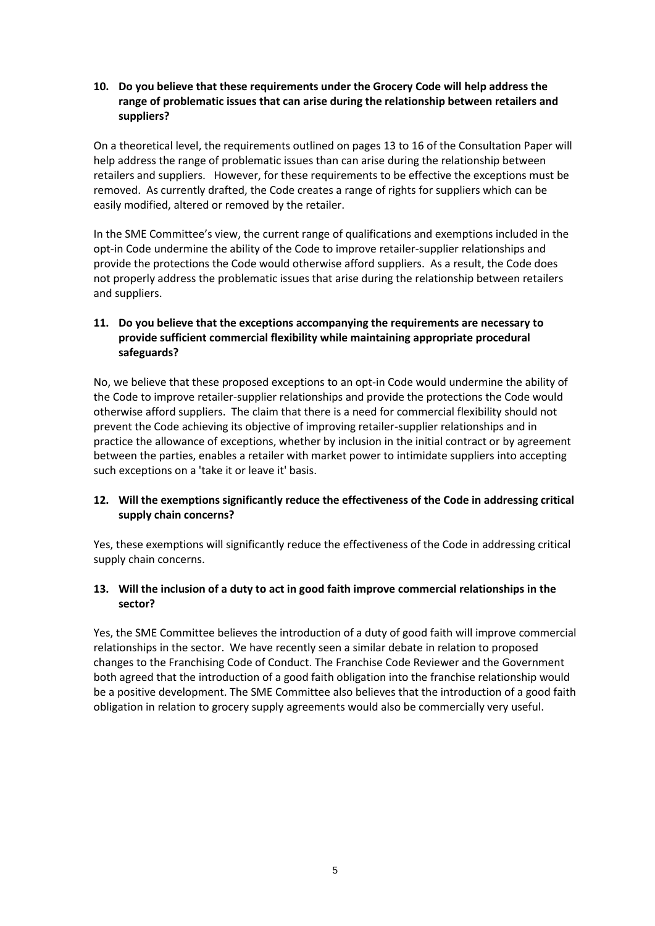## **10. Do you believe that these requirements under the Grocery Code will help address the range of problematic issues that can arise during the relationship between retailers and suppliers?**

On a theoretical level, the requirements outlined on pages 13 to 16 of the Consultation Paper will help address the range of problematic issues than can arise during the relationship between retailers and suppliers. However, for these requirements to be effective the exceptions must be removed. As currently drafted, the Code creates a range of rights for suppliers which can be easily modified, altered or removed by the retailer.

In the SME Committee's view, the current range of qualifications and exemptions included in the opt-in Code undermine the ability of the Code to improve retailer-supplier relationships and provide the protections the Code would otherwise afford suppliers. As a result, the Code does not properly address the problematic issues that arise during the relationship between retailers and suppliers.

# **11. Do you believe that the exceptions accompanying the requirements are necessary to provide sufficient commercial flexibility while maintaining appropriate procedural safeguards?**

No, we believe that these proposed exceptions to an opt-in Code would undermine the ability of the Code to improve retailer-supplier relationships and provide the protections the Code would otherwise afford suppliers. The claim that there is a need for commercial flexibility should not prevent the Code achieving its objective of improving retailer-supplier relationships and in practice the allowance of exceptions, whether by inclusion in the initial contract or by agreement between the parties, enables a retailer with market power to intimidate suppliers into accepting such exceptions on a 'take it or leave it' basis.

## **12. Will the exemptions significantly reduce the effectiveness of the Code in addressing critical supply chain concerns?**

Yes, these exemptions will significantly reduce the effectiveness of the Code in addressing critical supply chain concerns.

## **13. Will the inclusion of a duty to act in good faith improve commercial relationships in the sector?**

Yes, the SME Committee believes the introduction of a duty of good faith will improve commercial relationships in the sector. We have recently seen a similar debate in relation to proposed changes to the Franchising Code of Conduct. The Franchise Code Reviewer and the Government both agreed that the introduction of a good faith obligation into the franchise relationship would be a positive development. The SME Committee also believes that the introduction of a good faith obligation in relation to grocery supply agreements would also be commercially very useful.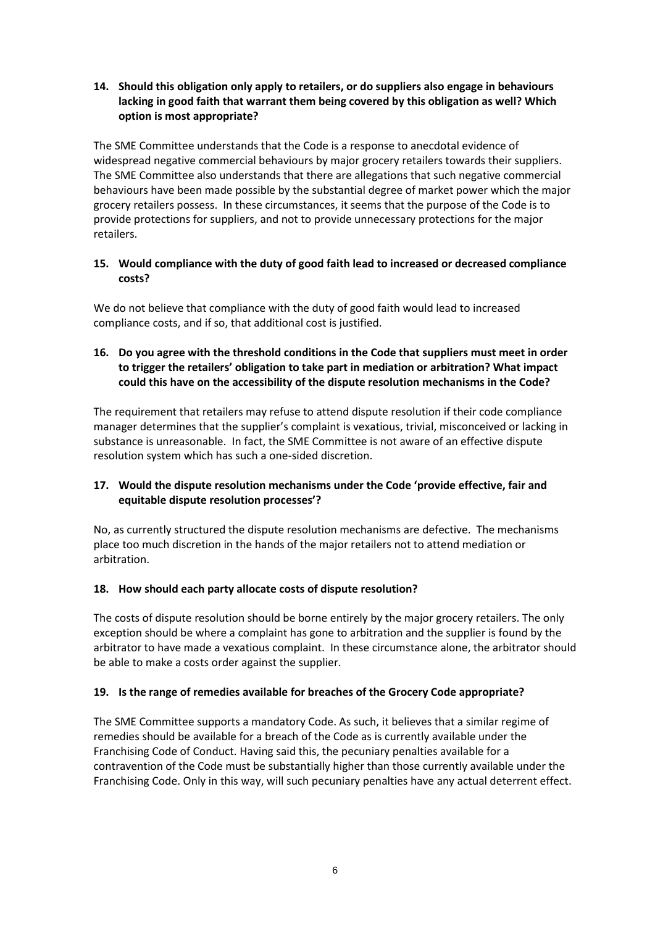## **14. Should this obligation only apply to retailers, or do suppliers also engage in behaviours lacking in good faith that warrant them being covered by this obligation as well? Which option is most appropriate?**

The SME Committee understands that the Code is a response to anecdotal evidence of widespread negative commercial behaviours by major grocery retailers towards their suppliers. The SME Committee also understands that there are allegations that such negative commercial behaviours have been made possible by the substantial degree of market power which the major grocery retailers possess. In these circumstances, it seems that the purpose of the Code is to provide protections for suppliers, and not to provide unnecessary protections for the major retailers.

## **15. Would compliance with the duty of good faith lead to increased or decreased compliance costs?**

We do not believe that compliance with the duty of good faith would lead to increased compliance costs, and if so, that additional cost is justified.

# **16. Do you agree with the threshold conditions in the Code that suppliers must meet in order to trigger the retailers' obligation to take part in mediation or arbitration? What impact could this have on the accessibility of the dispute resolution mechanisms in the Code?**

The requirement that retailers may refuse to attend dispute resolution if their code compliance manager determines that the supplier's complaint is vexatious, trivial, misconceived or lacking in substance is unreasonable. In fact, the SME Committee is not aware of an effective dispute resolution system which has such a one-sided discretion.

## **17. Would the dispute resolution mechanisms under the Code 'provide effective, fair and equitable dispute resolution processes'?**

No, as currently structured the dispute resolution mechanisms are defective. The mechanisms place too much discretion in the hands of the major retailers not to attend mediation or arbitration.

## **18. How should each party allocate costs of dispute resolution?**

The costs of dispute resolution should be borne entirely by the major grocery retailers. The only exception should be where a complaint has gone to arbitration and the supplier is found by the arbitrator to have made a vexatious complaint. In these circumstance alone, the arbitrator should be able to make a costs order against the supplier.

## **19. Is the range of remedies available for breaches of the Grocery Code appropriate?**

The SME Committee supports a mandatory Code. As such, it believes that a similar regime of remedies should be available for a breach of the Code as is currently available under the Franchising Code of Conduct. Having said this, the pecuniary penalties available for a contravention of the Code must be substantially higher than those currently available under the Franchising Code. Only in this way, will such pecuniary penalties have any actual deterrent effect.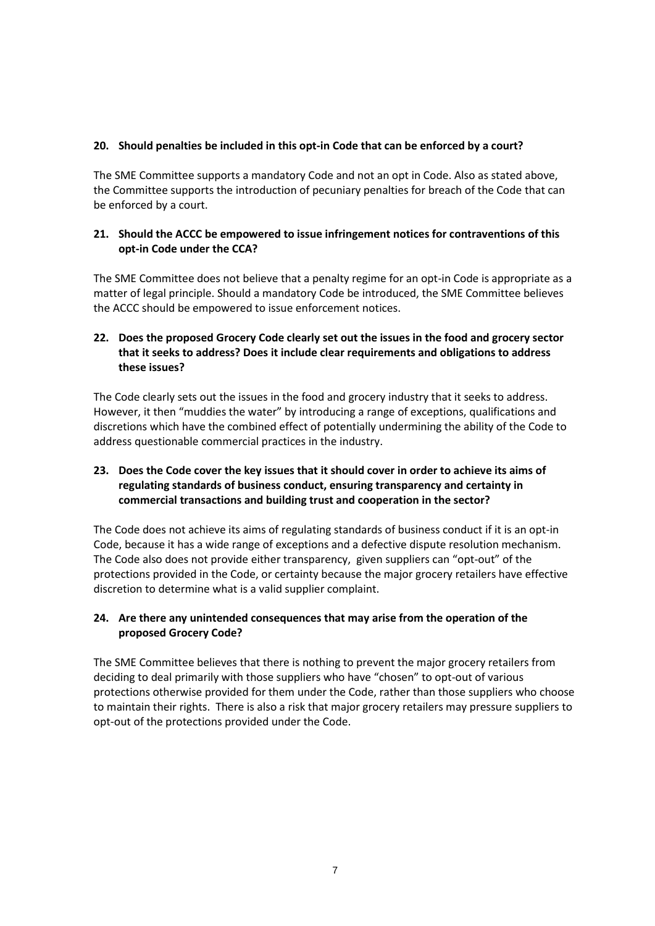#### **20. Should penalties be included in this opt-in Code that can be enforced by a court?**

The SME Committee supports a mandatory Code and not an opt in Code. Also as stated above, the Committee supports the introduction of pecuniary penalties for breach of the Code that can be enforced by a court.

#### **21. Should the ACCC be empowered to issue infringement notices for contraventions of this opt-in Code under the CCA?**

The SME Committee does not believe that a penalty regime for an opt-in Code is appropriate as a matter of legal principle. Should a mandatory Code be introduced, the SME Committee believes the ACCC should be empowered to issue enforcement notices.

# **22. Does the proposed Grocery Code clearly set out the issues in the food and grocery sector that it seeks to address? Does it include clear requirements and obligations to address these issues?**

The Code clearly sets out the issues in the food and grocery industry that it seeks to address. However, it then "muddies the water" by introducing a range of exceptions, qualifications and discretions which have the combined effect of potentially undermining the ability of the Code to address questionable commercial practices in the industry.

# **23. Does the Code cover the key issues that it should cover in order to achieve its aims of regulating standards of business conduct, ensuring transparency and certainty in commercial transactions and building trust and cooperation in the sector?**

The Code does not achieve its aims of regulating standards of business conduct if it is an opt-in Code, because it has a wide range of exceptions and a defective dispute resolution mechanism. The Code also does not provide either transparency, given suppliers can "opt-out" of the protections provided in the Code, or certainty because the major grocery retailers have effective discretion to determine what is a valid supplier complaint.

## **24. Are there any unintended consequences that may arise from the operation of the proposed Grocery Code?**

The SME Committee believes that there is nothing to prevent the major grocery retailers from deciding to deal primarily with those suppliers who have "chosen" to opt-out of various protections otherwise provided for them under the Code, rather than those suppliers who choose to maintain their rights. There is also a risk that major grocery retailers may pressure suppliers to opt-out of the protections provided under the Code.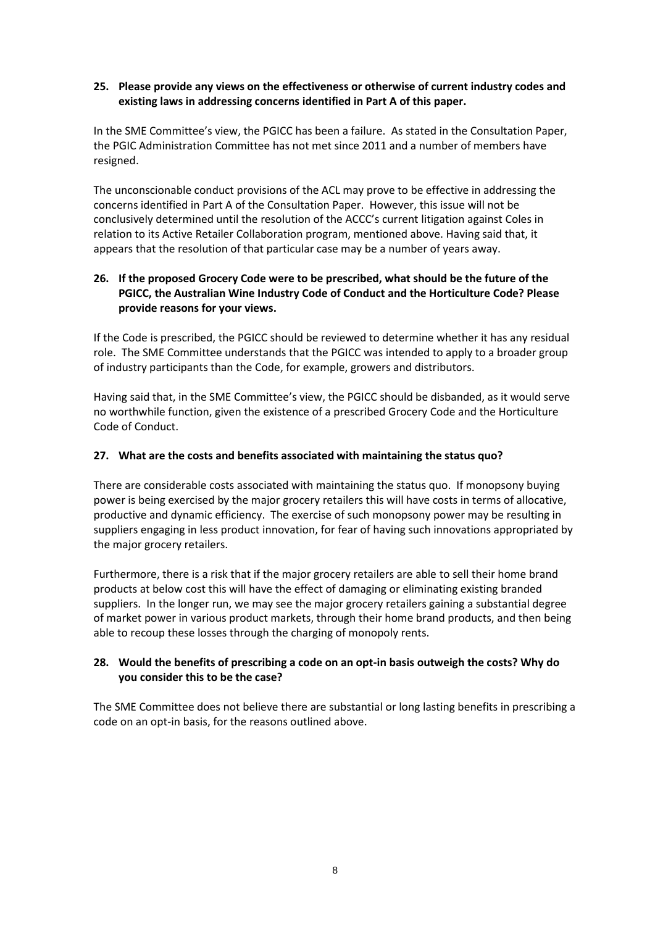## **25. Please provide any views on the effectiveness or otherwise of current industry codes and existing laws in addressing concerns identified in Part A of this paper.**

In the SME Committee's view, the PGICC has been a failure. As stated in the Consultation Paper, the PGIC Administration Committee has not met since 2011 and a number of members have resigned.

The unconscionable conduct provisions of the ACL may prove to be effective in addressing the concerns identified in Part A of the Consultation Paper. However, this issue will not be conclusively determined until the resolution of the ACCC's current litigation against Coles in relation to its Active Retailer Collaboration program, mentioned above. Having said that, it appears that the resolution of that particular case may be a number of years away.

## **26. If the proposed Grocery Code were to be prescribed, what should be the future of the PGICC, the Australian Wine Industry Code of Conduct and the Horticulture Code? Please provide reasons for your views.**

If the Code is prescribed, the PGICC should be reviewed to determine whether it has any residual role. The SME Committee understands that the PGICC was intended to apply to a broader group of industry participants than the Code, for example, growers and distributors.

Having said that, in the SME Committee's view, the PGICC should be disbanded, as it would serve no worthwhile function, given the existence of a prescribed Grocery Code and the Horticulture Code of Conduct.

## **27. What are the costs and benefits associated with maintaining the status quo?**

There are considerable costs associated with maintaining the status quo. If monopsony buying power is being exercised by the major grocery retailers this will have costs in terms of allocative, productive and dynamic efficiency. The exercise of such monopsony power may be resulting in suppliers engaging in less product innovation, for fear of having such innovations appropriated by the major grocery retailers.

Furthermore, there is a risk that if the major grocery retailers are able to sell their home brand products at below cost this will have the effect of damaging or eliminating existing branded suppliers. In the longer run, we may see the major grocery retailers gaining a substantial degree of market power in various product markets, through their home brand products, and then being able to recoup these losses through the charging of monopoly rents.

## **28. Would the benefits of prescribing a code on an opt-in basis outweigh the costs? Why do you consider this to be the case?**

The SME Committee does not believe there are substantial or long lasting benefits in prescribing a code on an opt-in basis, for the reasons outlined above.